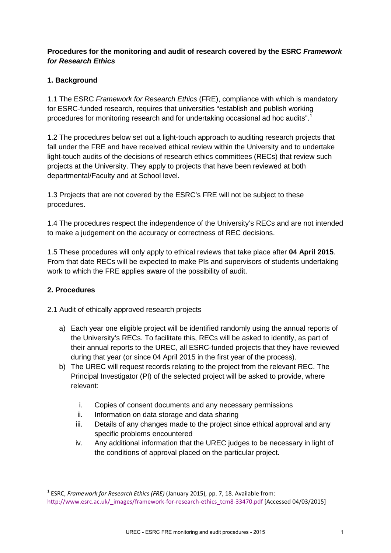## **Procedures for the monitoring and audit of research covered by the ESRC** *Framework for Research Ethics*

## **1. Background**

1.1 The ESRC *Framework for Research Ethics* (FRE), compliance with which is mandatory for ESRC-funded research, requires that universities "establish and publish working procedures for monitoring research and for undertaking occasional ad hoc audits".<sup>[1](#page-0-0)</sup>

1.2 The procedures below set out a light-touch approach to auditing research projects that fall under the FRE and have received ethical review within the University and to undertake light-touch audits of the decisions of research ethics committees (RECs) that review such projects at the University. They apply to projects that have been reviewed at both departmental/Faculty and at School level.

1.3 Projects that are not covered by the ESRC's FRE will not be subject to these procedures.

1.4 The procedures respect the independence of the University's RECs and are not intended to make a judgement on the accuracy or correctness of REC decisions.

1.5 These procedures will only apply to ethical reviews that take place after **04 April 2015**. From that date RECs will be expected to make PIs and supervisors of students undertaking work to which the FRE applies aware of the possibility of audit.

## **2. Procedures**

2.1 Audit of ethically approved research projects

- a) Each year one eligible project will be identified randomly using the annual reports of the University's RECs. To facilitate this, RECs will be asked to identify, as part of their annual reports to the UREC, all ESRC-funded projects that they have reviewed during that year (or since 04 April 2015 in the first year of the process).
- b) The UREC will request records relating to the project from the relevant REC. The Principal Investigator (PI) of the selected project will be asked to provide, where relevant:
	- i. Copies of consent documents and any necessary permissions
	- ii. Information on data storage and data sharing
	- iii. Details of any changes made to the project since ethical approval and any specific problems encountered
	- iv. Any additional information that the UREC judges to be necessary in light of the conditions of approval placed on the particular project.

<span id="page-0-0"></span><sup>1</sup> ESRC, *Framework for Research Ethics (FRE)* (January 2015), pp. 7, 18. Available from: [http://www.esrc.ac.uk/\\_images/framework-for-research-ethics\\_tcm8-33470.pdf](http://www.esrc.ac.uk/_images/framework-for-research-ethics_tcm8-33470.pdf) [Accessed 04/03/2015]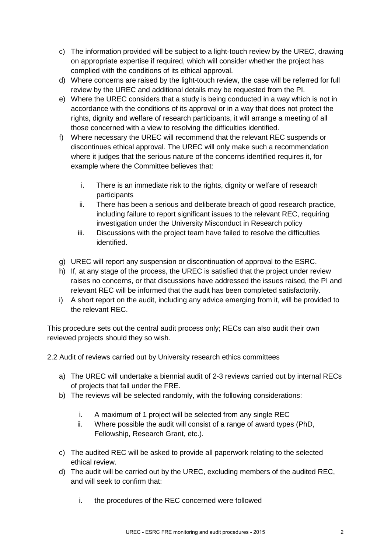- c) The information provided will be subject to a light-touch review by the UREC, drawing on appropriate expertise if required, which will consider whether the project has complied with the conditions of its ethical approval.
- d) Where concerns are raised by the light-touch review, the case will be referred for full review by the UREC and additional details may be requested from the PI.
- e) Where the UREC considers that a study is being conducted in a way which is not in accordance with the conditions of its approval or in a way that does not protect the rights, dignity and welfare of research participants, it will arrange a meeting of all those concerned with a view to resolving the difficulties identified.
- f) Where necessary the UREC will recommend that the relevant REC suspends or discontinues ethical approval. The UREC will only make such a recommendation where it judges that the serious nature of the concerns identified requires it, for example where the Committee believes that:
	- i. There is an immediate risk to the rights, dignity or welfare of research participants
	- ii. There has been a serious and deliberate breach of good research practice, including failure to report significant issues to the relevant REC, requiring investigation under the University Misconduct in Research policy
	- iii. Discussions with the project team have failed to resolve the difficulties identified.
- g) UREC will report any suspension or discontinuation of approval to the ESRC.
- h) If, at any stage of the process, the UREC is satisfied that the project under review raises no concerns, or that discussions have addressed the issues raised, the PI and relevant REC will be informed that the audit has been completed satisfactorily.
- i) A short report on the audit, including any advice emerging from it, will be provided to the relevant REC.

This procedure sets out the central audit process only; RECs can also audit their own reviewed projects should they so wish.

2.2 Audit of reviews carried out by University research ethics committees

- a) The UREC will undertake a biennial audit of 2-3 reviews carried out by internal RECs of projects that fall under the FRE.
- b) The reviews will be selected randomly, with the following considerations:
	- i. A maximum of 1 project will be selected from any single REC
	- ii. Where possible the audit will consist of a range of award types (PhD, Fellowship, Research Grant, etc.).
- c) The audited REC will be asked to provide all paperwork relating to the selected ethical review.
- d) The audit will be carried out by the UREC, excluding members of the audited REC, and will seek to confirm that:
	- i. the procedures of the REC concerned were followed